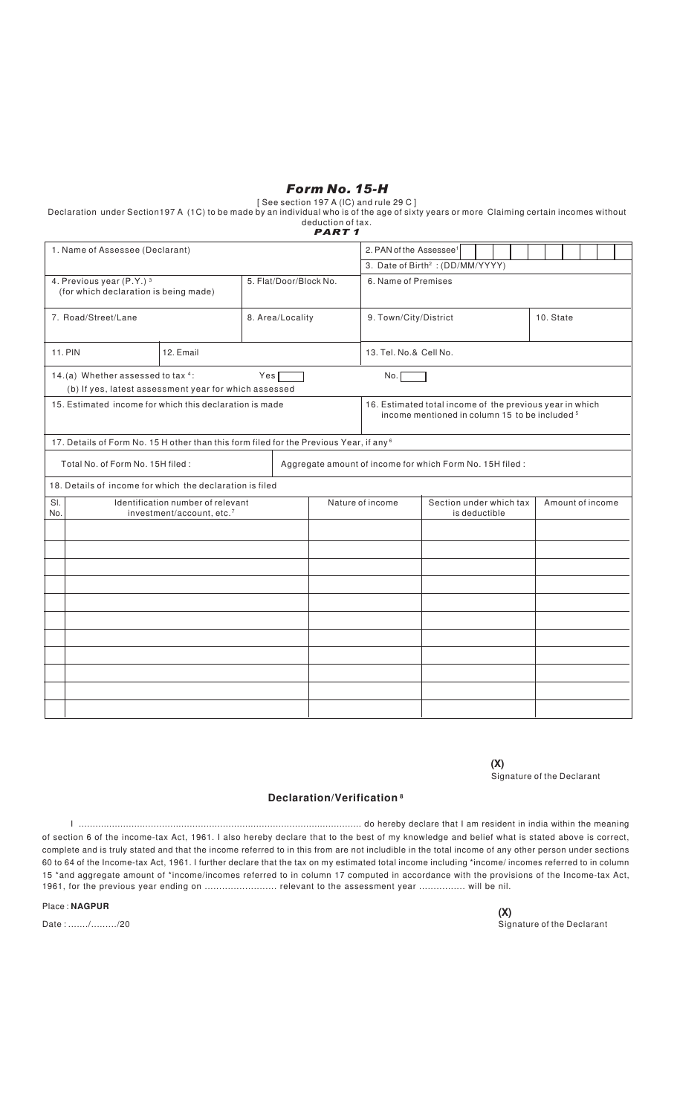## Form No. 15-H

[ See section 197 A (lC) and rule 29 C ]

Declaration under Section197 A (1C) to be made by an individual who is of the age of sixty years or more Claiming certain incomes without deduction of tax.<br>PART 1

|                                                                                                    |                        | PART 1           |                                                                                                                       |                                                              |           |  |  |  |  |  |  |
|----------------------------------------------------------------------------------------------------|------------------------|------------------|-----------------------------------------------------------------------------------------------------------------------|--------------------------------------------------------------|-----------|--|--|--|--|--|--|
| 1. Name of Assessee (Declarant)                                                                    |                        |                  | 2. PAN of the Assessee <sup>1</sup>                                                                                   |                                                              |           |  |  |  |  |  |  |
|                                                                                                    |                        |                  | 3. Date of Birth <sup>2</sup> : (DD/MM/YYYY)                                                                          |                                                              |           |  |  |  |  |  |  |
| 4. Previous year (P.Y.) 3<br>(for which declaration is being made)                                 | 5. Flat/Door/Block No. |                  | 6. Name of Premises                                                                                                   |                                                              |           |  |  |  |  |  |  |
| 7. Road/Street/Lane                                                                                | 8. Area/Locality       |                  | 9. Town/City/District                                                                                                 |                                                              | 10. State |  |  |  |  |  |  |
| <b>11. PIN</b><br>12. Email                                                                        |                        |                  | 13. Tel. No.& Cell No.                                                                                                |                                                              |           |  |  |  |  |  |  |
| 14.(a) Whether assessed to tax 4:<br>(b) If yes, latest assessment year for which assessed         | No.                    |                  |                                                                                                                       |                                                              |           |  |  |  |  |  |  |
| 15. Estimated income for which this declaration is made                                            |                        |                  | 16. Estimated total income of the previous year in which<br>income mentioned in column 15 to be included <sup>5</sup> |                                                              |           |  |  |  |  |  |  |
| 17. Details of Form No. 15 H other than this form filed for the Previous Year, if any <sup>6</sup> |                        |                  |                                                                                                                       |                                                              |           |  |  |  |  |  |  |
| Total No. of Form No. 15H filed:                                                                   |                        |                  | Aggregate amount of income for which Form No. 15H filed :                                                             |                                                              |           |  |  |  |  |  |  |
| 18. Details of income for which the declaration is filed                                           |                        |                  |                                                                                                                       |                                                              |           |  |  |  |  |  |  |
| SI.<br>Identification number of relevant<br>No.<br>investment/account, etc.7                       |                        | Nature of income |                                                                                                                       | Section under which tax<br>Amount of income<br>is deductible |           |  |  |  |  |  |  |
|                                                                                                    |                        |                  |                                                                                                                       |                                                              |           |  |  |  |  |  |  |
|                                                                                                    |                        |                  |                                                                                                                       |                                                              |           |  |  |  |  |  |  |
|                                                                                                    |                        |                  |                                                                                                                       |                                                              |           |  |  |  |  |  |  |
|                                                                                                    |                        |                  |                                                                                                                       |                                                              |           |  |  |  |  |  |  |
|                                                                                                    |                        |                  |                                                                                                                       |                                                              |           |  |  |  |  |  |  |
|                                                                                                    |                        |                  |                                                                                                                       |                                                              |           |  |  |  |  |  |  |
|                                                                                                    |                        |                  |                                                                                                                       |                                                              |           |  |  |  |  |  |  |
|                                                                                                    |                        |                  |                                                                                                                       |                                                              |           |  |  |  |  |  |  |
|                                                                                                    |                        |                  |                                                                                                                       |                                                              |           |  |  |  |  |  |  |
|                                                                                                    |                        |                  |                                                                                                                       |                                                              |           |  |  |  |  |  |  |
|                                                                                                    |                        |                  |                                                                                                                       |                                                              |           |  |  |  |  |  |  |

Signature of the Declarant **(X)**

## **Declaration/Verification <sup>8</sup>**

I ...................................................................................................... do hereby declare that I am resident in india within the meaning of section 6 of the income-tax Act, 1961. I also hereby declare that to the best of my knowledge and belief what is stated above is correct, complete and is truly stated and that the income referred to in this from are not includible in the total income of any other person under sections 60 to 64 of the Income-tax Act, 1961. I further declare that the tax on my estimated total income including \*income/ incomes referred to in column 15 \*and aggregate amount of \*income/incomes referred to in column 17 computed in accordance with the provisions of the Income-tax Act, 1961, for the previous year ending on ......................... relevant to the assessment year ................ will be nil.

Place : **NAGPUR**

Date : ......./........./20 Signature of the Declarant **(X)**